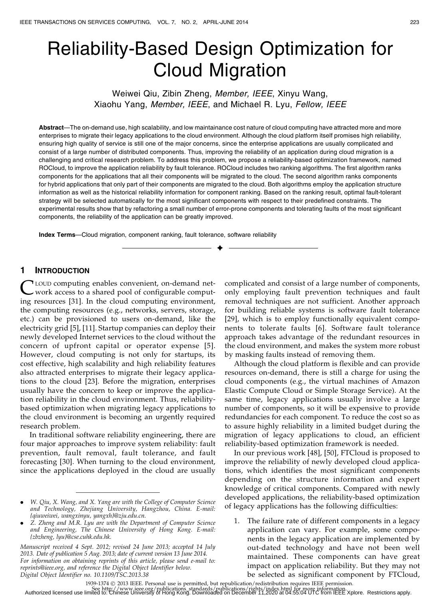# Reliability-Based Design Optimization for Cloud Migration

Weiwei Qiu, Zibin Zheng, Member, IEEE, Xinyu Wang, Xiaohu Yang, Member, IEEE, and Michael R. Lyu, Fellow, IEEE

Abstract—The on-demand use, high scalability, and low maintainance cost nature of cloud computing have attracted more and more enterprises to migrate their legacy applications to the cloud environment. Although the cloud platform itself promises high reliability, ensuring high quality of service is still one of the major concerns, since the enterprise applications are usually complicated and consist of a large number of distributed components. Thus, improving the reliability of an application during cloud migration is a challenging and critical research problem. To address this problem, we propose a reliability-based optimization framework, named ROCloud, to improve the application reliability by fault tolerance. ROCloud includes two ranking algorithms. The first algorithm ranks components for the applications that all their components will be migrated to the cloud. The second algorithm ranks components for hybrid applications that only part of their components are migrated to the cloud. Both algorithms employ the application structure information as well as the historical reliability information for component ranking. Based on the ranking result, optimal fault-tolerant strategy will be selected automatically for the most significant components with respect to their predefined constraints. The experimental results show that by refactoring a small number of error-prone components and tolerating faults of the most significant components, the reliability of the application can be greatly improved.

 $\ddotmark$ 

Index Terms—Cloud migration, component ranking, fault tolerance, software reliability

## 1 INTRODUCTION

C LOUD computing enables convenient, on-demand net-<br>work access to a shared pool of configurable comput-<br>ine reserves [21]. In the slavel computing environment ing resources [31]. In the cloud computing environment, the computing resources (e.g., networks, servers, storage, etc.) can be provisioned to users on-demand, like the electricity grid [5], [11]. Startup companies can deploy their newly developed Internet services to the cloud without the concern of upfront capital or operator expense [5]. However, cloud computing is not only for startups, its cost effective, high scalability and high reliability features also attracted enterprises to migrate their legacy applications to the cloud [23]. Before the migration, enterprises usually have the concern to keep or improve the application reliability in the cloud environment. Thus, reliabilitybased optimization when migrating legacy applications to the cloud environment is becoming an urgently required research problem.

In traditional software reliability engineering, there are four major approaches to improve system reliability: fault prevention, fault removal, fault tolerance, and fault forecasting [30]. When turning to the cloud environment, since the applications deployed in the cloud are usually

Manuscript received 4 Sept. 2012; revised 24 June 2013; accepted 14 July 2013. Date of publication 5 Aug. 2013; date of current version 13 June 2014. For information on obtaining reprints of this article, please send e-mail to: reprints@ieee.org, and reference the Digital Object Identifier below. Digital Object Identifier no. 10.1109/TSC.2013.38

complicated and consist of a large number of components, only employing fault prevention techniques and fault removal techniques are not sufficient. Another approach for building reliable systems is software fault tolerance [29], which is to employ functionally equivalent components to tolerate faults [6]. Software fault tolerance approach takes advantage of the redundant resources in the cloud environment, and makes the system more robust by masking faults instead of removing them.

Although the cloud platform is flexible and can provide resources on-demand, there is still a charge for using the cloud components (e.g., the virtual machines of Amazon Elastic Compute Cloud or Simple Storage Service). At the same time, legacy applications usually involve a large number of components, so it will be expensive to provide redundancies for each component. To reduce the cost so as to assure highly reliability in a limited budget during the migration of legacy applications to cloud, an efficient reliability-based optimization framework is needed.

In our previous work [48], [50], FTCloud is proposed to improve the reliability of newly developed cloud applications, which identifies the most significant components depending on the structure information and expert knowledge of critical components. Compared with newly developed applications, the reliability-based optimization of legacy applications has the following difficulties:

1. The failure rate of different components in a legacy application can vary. For example, some components in the legacy application are implemented by out-dated technology and have not been well maintained. These components can have great impact on application reliability. But they may not be selected as significant component by FTCloud,

1939-1374 © 2013 IEEE. Personal use is permitted, but republication/redistribution requires IEEE permission.<br>Authorized licensed use limited to: Chinese University of Hong Kong. Downloaded on December 11,2020 at 04:55:04

<sup>.</sup> W. Qiu, X. Wang, and X. Yang are with the College of Computer Science and Technology, Zhejiang University, Hangzhou, China. E-mail: {qiuweiwei, wangxinyu, yangxh}@zju.edu.cn.

<sup>.</sup> Z. Zheng and M.R. Lyu are with the Department of Computer Science and Engineering, The Chinese University of Hong Kong. E-mail: {zbzheng, lyu}@cse.cuhk.edu.hk.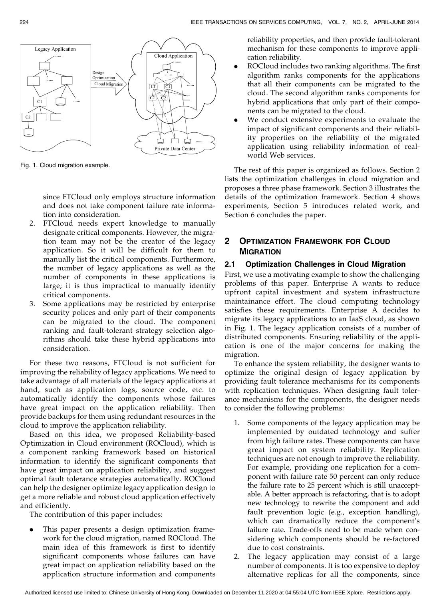

Fig. 1. Cloud migration example.

since FTCloud only employs structure information and does not take component failure rate information into consideration.

- 2. FTCloud needs expert knowledge to manually designate critical components. However, the migration team may not be the creator of the legacy application. So it will be difficult for them to manually list the critical components. Furthermore, the number of legacy applications as well as the number of components in these applications is large; it is thus impractical to manually identify critical components.
- 3. Some applications may be restricted by enterprise security polices and only part of their components can be migrated to the cloud. The component ranking and fault-tolerant strategy selection algorithms should take these hybrid applications into consideration.

For these two reasons, FTCloud is not sufficient for improving the reliability of legacy applications. We need to take advantage of all materials of the legacy applications at hand, such as application logs, source code, etc. to automatically identify the components whose failures have great impact on the application reliability. Then provide backups for them using redundant resources in the cloud to improve the application reliability.

Based on this idea, we proposed Reliability-based Optimization in Cloud environment (ROCloud), which is a component ranking framework based on historical information to identify the significant components that have great impact on application reliability, and suggest optimal fault tolerance strategies automatically. ROCloud can help the designer optimize legacy application design to get a more reliable and robust cloud application effectively and efficiently.

The contribution of this paper includes:

. This paper presents a design optimization framework for the cloud migration, named ROCloud. The main idea of this framework is first to identify significant components whose failures can have great impact on application reliability based on the application structure information and components reliability properties, and then provide fault-tolerant mechanism for these components to improve application reliability.

- . ROCloud includes two ranking algorithms. The first algorithm ranks components for the applications that all their components can be migrated to the cloud. The second algorithm ranks components for hybrid applications that only part of their components can be migrated to the cloud.
- We conduct extensive experiments to evaluate the impact of significant components and their reliability properties on the reliability of the migrated application using reliability information of realworld Web services.

The rest of this paper is organized as follows. Section 2 lists the optimization challenges in cloud migration and proposes a three phase framework. Section 3 illustrates the details of the optimization framework. Section 4 shows experiments, Section 5 introduces related work, and Section 6 concludes the paper.

# 2 OPTIMIZATION FRAMEWORK FOR CLOUD **MIGRATION**

### 2.1 Optimization Challenges in Cloud Migration

First, we use a motivating example to show the challenging problems of this paper. Enterprise A wants to reduce upfront capital investment and system infrastructure maintainance effort. The cloud computing technology satisfies these requirements. Enterprise A decides to migrate its legacy applications to an IaaS cloud, as shown in Fig. 1. The legacy application consists of a number of distributed components. Ensuring reliability of the application is one of the major concerns for making the migration.

To enhance the system reliability, the designer wants to optimize the original design of legacy application by providing fault tolerance mechanisms for its components with replication techniques. When designing fault tolerance mechanisms for the components, the designer needs to consider the following problems:

- Some components of the legacy application may be implemented by outdated technology and suffer from high failure rates. These components can have great impact on system reliability. Replication techniques are not enough to improve the reliability. For example, providing one replication for a component with failure rate 50 percent can only reduce the failure rate to 25 percent which is still unacceptable. A better approach is refactoring, that is to adopt new technology to rewrite the component and add fault prevention logic (e.g., exception handling), which can dramatically reduce the component's failure rate. Trade-offs need to be made when considering which components should be re-factored due to cost constraints.
- 2. The legacy application may consist of a large number of components. It is too expensive to deploy alternative replicas for all the components, since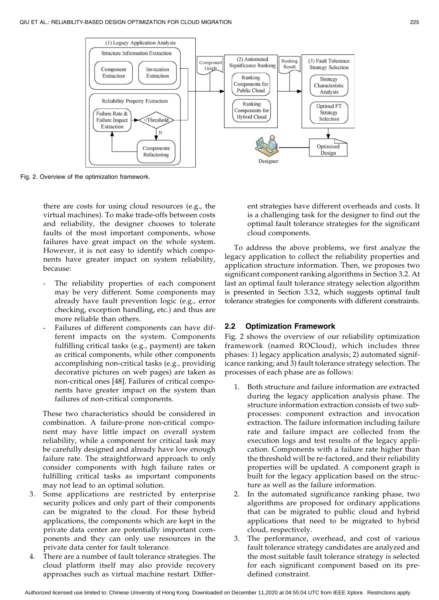

Fig. 2. Overview of the optimization framework.

there are costs for using cloud resources (e.g., the virtual machines). To make trade-offs between costs and reliability, the designer chooses to tolerate faults of the most important components, whose failures have great impact on the whole system. However, it is not easy to identify which components have greater impact on system reliability, because:

- The reliability properties of each component may be very different. Some components may already have fault prevention logic (e.g., error checking, exception handling, etc.) and thus are more reliable than others.
- Failures of different components can have different impacts on the system. Components fulfilling critical tasks (e.g., payment) are taken as critical components, while other components accomplishing non-critical tasks (e.g., providing decorative pictures on web pages) are taken as non-critical ones [48]. Failures of critical components have greater impact on the system than failures of non-critical components.

These two characteristics should be considered in combination. A failure-prone non-critical component may have little impact on overall system reliability, while a component for critical task may be carefully designed and already have low enough failure rate. The straightforward approach to only consider components with high failure rates or fulfilling critical tasks as important components may not lead to an optimal solution.

- 3. Some applications are restricted by enterprise security polices and only part of their components can be migrated to the cloud. For these hybrid applications, the components which are kept in the private data center are potentially important components and they can only use resources in the private data center for fault tolerance.
- 4. There are a number of fault tolerance strategies. The cloud platform itself may also provide recovery approaches such as virtual machine restart. Differ-

ent strategies have different overheads and costs. It is a challenging task for the designer to find out the optimal fault tolerance strategies for the significant cloud components.

To address the above problems, we first analyze the legacy application to collect the reliability properties and application structure information. Then, we proposes two significant component ranking algorithms in Section 3.2. At last an optimal fault tolerance strategy selection algorithm is presented in Section 3.3.2, which suggests optimal fault tolerance strategies for components with different constraints.

#### 2.2 Optimization Framework

Fig. 2 shows the overview of our reliability optimization framework (named ROCloud), which includes three phases: 1) legacy application analysis; 2) automated significance ranking; and 3) fault tolerance strategy selection. The processes of each phase are as follows:

- 1. Both structure and failure information are extracted during the legacy application analysis phase. The structure information extraction consists of two subprocesses: component extraction and invocation extraction. The failure information including failure rate and failure impact are collected from the execution logs and test results of the legacy application. Components with a failure rate higher than the threshold will be re-factored, and their reliability properties will be updated. A component graph is built for the legacy application based on the structure as well as the failure information.
- 2. In the automated significance ranking phase, two algorithms are proposed for ordinary applications that can be migrated to public cloud and hybrid applications that need to be migrated to hybrid cloud, respectively.
- 3. The performance, overhead, and cost of various fault tolerance strategy candidates are analyzed and the most suitable fault tolerance strategy is selected for each significant component based on its predefined constraint.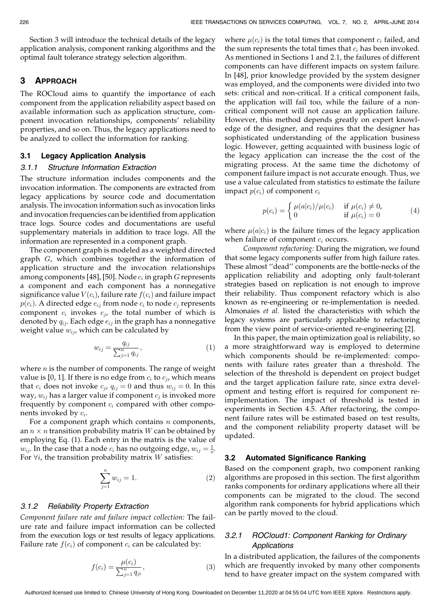Section 3 will introduce the technical details of the legacy application analysis, component ranking algorithms and the optimal fault tolerance strategy selection algorithm.

# 3 APPROACH

The ROCloud aims to quantify the importance of each component from the application reliability aspect based on available information such as application structure, component invocation relationships, components' reliability properties, and so on. Thus, the legacy applications need to be analyzed to collect the information for ranking.

# 3.1 Legacy Application Analysis

### 3.1.1 Structure Information Extraction

The structure information includes components and the invocation information. The components are extracted from legacy applications by source code and documentation analysis. The invocation information such as invocation links and invocation frequencies can be identified from application trace logs. Source codes and documentations are useful supplementary materials in addition to trace logs. All the information are represented in a component graph.

The component graph is modeled as a weighted directed graph G, which combines together the information of application structure and the invocation relationships among components [48], [50]. Node  $c_i$  in graph G represents a component and each component has a nonnegative significance value  $V(c_i)$ , failure rate  $f(c_i)$  and failure impact  $p(c_i)$ . A directed edge  $e_{ij}$  from node  $c_i$  to node  $c_j$  represents component  $c_i$  invokes  $c_j$ , the total number of which is denoted by  $q_{ij}$ . Each edge  $e_{ij}$  in the graph has a nonnegative weight value  $w_{ij}$ , which can be calculated by

$$
w_{ij} = \frac{q_{ij}}{\sum_{j=1}^{n} q_{ij}},
$$
\n(1)

where  $n$  is the number of components. The range of weight value is [0, 1]. If there is no edge from  $c_i$  to  $c_j$ , which means that  $c_i$  does not invoke  $c_j$ ,  $q_{ij} = 0$  and thus  $w_{ij} = 0$ . In this way,  $w_{ij}$  has a larger value if component  $c_i$  is invoked more frequently by component  $c_i$  compared with other components invoked by  $c_i$ .

For a component graph which contains  $n$  components, an  $n \times n$  transition probability matrix  $W$  can be obtained by employing Eq. (1). Each entry in the matrix is the value of  $w_{ij}$ . In the case that a node  $c_i$  has no outgoing edge,  $w_{ij} = \frac{1}{n}$ . For  $\forall i$ , the transition probability matrix W satisfies:

$$
\sum_{j=1}^{n} w_{ij} = 1.
$$
 (2)

# 3.1.2 Reliability Property Extraction

Component failure rate and failure impact collection: The failure rate and failure impact information can be collected from the execution logs or test results of legacy applications. Failure rate  $f(c_i)$  of component  $c_i$  can be calculated by:

$$
f(c_i) = \frac{\mu(c_i)}{\sum_{j=1}^n q_{ji}},
$$
\n(3)

where  $\mu(c_i)$  is the total times that component  $c_i$  failed, and the sum represents the total times that  $c_i$  has been invoked. As mentioned in Sections 1 and 2.1, the failures of different components can have different impacts on system failure. In [48], prior knowledge provided by the system designer was employed, and the components were divided into two sets: critical and non-critical. If a critical component fails, the application will fail too, while the failure of a noncritical component will not cause an application failure. However, this method depends greatly on expert knowledge of the designer, and requires that the designer has sophisticated understanding of the application business logic. However, getting acquainted with business logic of the legacy application can increase the the cost of the migrating process. At the same time the dichotomy of component failure impact is not accurate enough. Thus, we use a value calculated from statistics to estimate the failure impact  $p(c_i)$  of component  $c_i$ 

$$
p(c_i) = \begin{cases} \mu(a|c_i)/\mu(c_i) & \text{if } \mu(c_i) \neq 0, \\ 0 & \text{if } \mu(c_i) = 0 \end{cases}
$$
 (4)

where  $\mu(a|c_i)$  is the failure times of the legacy application when failure of component  $c_i$  occurs.

Component refactoring: During the migration, we found that some legacy components suffer from high failure rates. These almost ''dead'' components are the bottle-necks of the application reliability and adopting only fault-tolerant strategies based on replication is not enough to improve their reliability. Thus component refactory which is also known as re-engineering or re-implementation is needed. Almonaies et al. listed the characteristics with which the legacy systems are particularly applicable to refactoring from the view point of service-oriented re-engineering [2].

In this paper, the main optimization goal is reliability, so a more straightforward way is employed to determine which components should be re-implemented: components with failure rates greater than a threshold. The selection of the threshold is dependent on project budget and the target application failure rate, since extra development and testing effort is required for component reimplementation. The impact of threshold is tested in experiments in Section 4.5. After refactoring, the component failure rates will be estimated based on test results, and the component reliability property dataset will be updated.

# 3.2 Automated Significance Ranking

Based on the component graph, two component ranking algorithms are proposed in this section. The first algorithm ranks components for ordinary applications where all their components can be migrated to the cloud. The second algorithm rank components for hybrid applications which can be partly moved to the cloud.

# 3.2.1 ROCloud1: Component Ranking for Ordinary **Applications**

In a distributed application, the failures of the components which are frequently invoked by many other components tend to have greater impact on the system compared with

Authorized licensed use limited to: Chinese University of Hong Kong. Downloaded on December 11,2020 at 04:55:04 UTC from IEEE Xplore. Restrictions apply.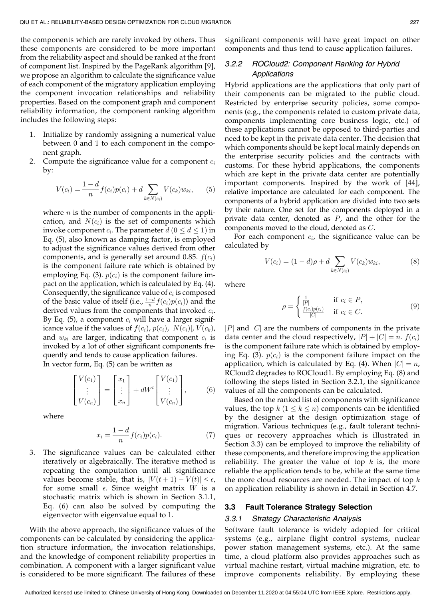the components which are rarely invoked by others. Thus these components are considered to be more important from the reliability aspect and should be ranked at the front of component list. Inspired by the PageRank algorithm [9], we propose an algorithm to calculate the significance value of each component of the migratory application employing the component invocation relationships and reliability properties. Based on the component graph and component reliability information, the component ranking algorithm includes the following steps:

- 1. Initialize by randomly assigning a numerical value between 0 and 1 to each component in the component graph.
- 2. Compute the significance value for a component  $c_i$ by:

$$
V(c_i) = \frac{1-d}{n} f(c_i) p(c_i) + d \sum_{k \in N(c_i)} V(c_k) w_{ki}, \qquad (5)
$$

where  $n$  is the number of components in the application, and  $N(c_i)$  is the set of components which invoke component  $c_i$ . The parameter  $d$   $(0 \leq d \leq 1)$  in Eq. (5), also known as damping factor, is employed to adjust the significance values derived from other components, and is generally set around 0.85.  $f(c_i)$ is the component failure rate which is obtained by employing Eq. (3).  $p(c_i)$  is the component failure impact on the application, which is calculated by Eq. (4). Consequently, the significance value of  $c_i$  is composed of the basic value of itself (i.e.,  $\frac{1-d}{n} f(c_i) p(c_i)$ ) and the derived values from the components that invoked  $c_i$ . By Eq. (5), a component  $c_i$  will have a larger significance value if the values of  $f(c_i)$ ,  $p(c_i)$ ,  $|N(c_i)|$ ,  $V(c_k)$ , and  $w_{ki}$  are larger, indicating that component  $c_i$  is invoked by a lot of other significant components frequently and tends to cause application failures. In vector form, Eq. (5) can be written as

$$
\begin{bmatrix} V(c_1) \\ \vdots \\ V(c_n) \end{bmatrix} = \begin{bmatrix} x_1 \\ \vdots \\ x_n \end{bmatrix} + dW^t \begin{bmatrix} V(c_1) \\ \vdots \\ V(c_n) \end{bmatrix}, \qquad (6)
$$

where

$$
x_i = \frac{1 - d}{n} f(c_i) p(c_i).
$$
 (7)

3. The significance values can be calculated either iteratively or algebraically. The iterative method is repeating the computation until all significance values become stable, that is,  $|V(t + 1) - V(t)| < \epsilon$ , for some small  $\epsilon$ . Since weight matrix W is a stochastic matrix which is shown in Section 3.1.1, Eq. (6) can also be solved by computing the eigenvector with eigenvalue equal to 1.

With the above approach, the significance values of the components can be calculated by considering the application structure information, the invocation relationships, and the knowledge of component reliability properties in combination. A component with a larger significant value is considered to be more significant. The failures of these significant components will have great impact on other components and thus tend to cause application failures.

# 3.2.2 ROCloud2: Component Ranking for Hybrid **Applications**

Hybrid applications are the applications that only part of their components can be migrated to the public cloud. Restricted by enterprise security policies, some components (e.g., the components related to custom private data, components implementing core business logic, etc.) of these applications cannot be opposed to third-parties and need to be kept in the private data center. The decision that which components should be kept local mainly depends on the enterprise security policies and the contracts with customs. For these hybrid applications, the components which are kept in the private data center are potentially important components. Inspired by the work of [44], relative importance are calculated for each component. The components of a hybrid application are divided into two sets by their nature. One set for the components deployed in a private data center, denoted as  $P$ , and the other for the components moved to the cloud, denoted as C.

For each component  $c_i$ , the significance value can be calculated by

$$
V(c_i) = (1 - d)\rho + d \sum_{k \in N(c_i)} V(c_k) w_{ki}, \qquad (8)
$$

where

$$
\rho = \begin{cases} \frac{1}{|P|} & \text{if } c_i \in P, \\ \frac{f(c_i)p(c_i)}{|C|} & \text{if } c_i \in C. \end{cases}
$$
 (9)

 $|P|$  and  $|C|$  are the numbers of components in the private data center and the cloud respectively,  $|P|+|C|=n$ .  $f(c_i)$ is the component failure rate which is obtained by employing Eq. (3).  $p(c_i)$  is the component failure impact on the application, which is calculated by Eq. (4). When  $|C| = n$ , RCloud2 degrades to ROCloud1. By employing Eq. (8) and following the steps listed in Section 3.2.1, the significance values of all the components can be calculated.

Based on the ranked list of components with significance values, the top  $k$   $(1 \leq k \leq n)$  components can be identified by the designer at the design optimization stage of migration. Various techniques (e.g., fault tolerant techniques or recovery approaches which is illustrated in Section 3.3) can be employed to improve the reliability of these components, and therefore improving the application reliability. The greater the value of top  $k$  is, the more reliable the application tends to be, while at the same time the more cloud resources are needed. The impact of top  $k$ on application reliability is shown in detail in Section 4.7.

#### 3.3 Fault Tolerance Strategy Selection

#### 3.3.1 Strategy Characteristic Analysis

Software fault tolerance is widely adopted for critical systems (e.g., airplane flight control systems, nuclear power station management systems, etc.). At the same time, a cloud platform also provides approaches such as virtual machine restart, virtual machine migration, etc. to improve components reliability. By employing these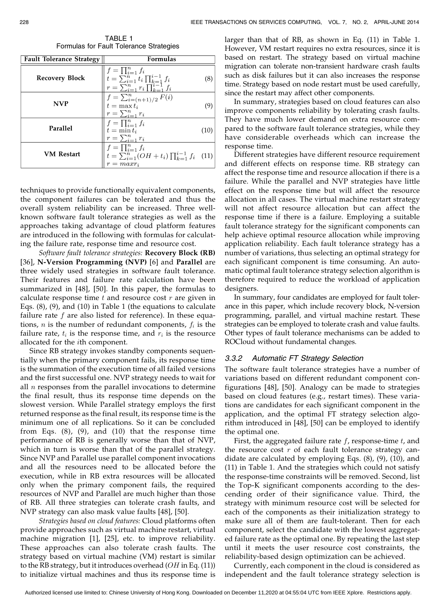| TABLE 1                                 |  |  |  |  |  |  |  |
|-----------------------------------------|--|--|--|--|--|--|--|
| Formulas for Fault Tolerance Strategies |  |  |  |  |  |  |  |

| <b>Fault Tolerance Strategy</b> | Formulas                                                                                                                                               |     |
|---------------------------------|--------------------------------------------------------------------------------------------------------------------------------------------------------|-----|
| <b>Recovery Block</b>           | $\begin{array}{l} f = \prod_{i=1}^{n} f_i \\ t = \sum_{i=1}^{n} t_i \prod_{k=1}^{i-1} f_i \\ r = \sum_{i=1}^{n} r_i \prod_{k=1}^{i-1} f_i \end{array}$ | (8) |
| <b>NVP</b>                      | $\begin{array}{l} f = \sum_{i=(n+1)/2}^{n} F(i) \\ t = \max t_i \\ r = \sum_{i=1}^{n} r_i \end{array}$                                                 |     |
| Parallel                        | $\begin{array}{l} f = \prod_{i=1}^n f_i \\ t = \min t_i \\ r = \sum_{i=1}^n r_i \end{array}$                                                           | (10 |
| VM Restart                      | $f = \prod_{i=1}^n f_i$<br>$t = \sum_{i=1}^{n} (OH + t_i) \prod_{k=1}^{i-1} f_i$ (11)<br>$r = maxr_i$                                                  |     |

techniques to provide functionally equivalent components, the component failures can be tolerated and thus the overall system reliability can be increased. Three wellknown software fault tolerance strategies as well as the approaches taking advantage of cloud platform features are introduced in the following with formulas for calculating the failure rate, response time and resource cost.

Software fault tolerance strategies: Recovery Block (RB) [36], N-Version Programming (NVP) [6] and Parallel are three widely used strategies in software fault tolerance. Their features and failure rate calculation have been summarized in [48], [50]. In this paper, the formulas to calculate response time  $t$  and resource cost  $r$  are given in Eqs. (8), (9), and (10) in Table 1 (the equations to calculate failure rate  $f$  are also listed for reference). In these equations,  $n$  is the number of redundant components,  $f_i$  is the failure rate,  $t_i$  is the response time, and  $r_i$  is the resource allocated for the ith component.

Since RB strategy invokes standby components sequentially when the primary component fails, its response time is the summation of the execution time of all failed versions and the first successful one. NVP strategy needs to wait for all  $n$  responses from the parallel invocations to determine the final result, thus its response time depends on the slowest version. While Parallel strategy employs the first returned response as the final result, its response time is the minimum one of all replications. So it can be concluded from Eqs. (8), (9), and (10) that the response time performance of RB is generally worse than that of NVP, which in turn is worse than that of the parallel strategy. Since NVP and Parallel use parallel component invocations and all the resources need to be allocated before the execution, while in RB extra resources will be allocated only when the primary component fails, the required resources of NVP and Parallel are much higher than those of RB. All three strategies can tolerate crash faults, and NVP strategy can also mask value faults [48], [50].

Strategies based on cloud features: Cloud platforms often provide approaches such as virtual machine restart, virtual machine migration [1], [25], etc. to improve reliability. These approaches can also tolerate crash faults. The strategy based on virtual machine (VM) restart is similar to the RB strategy, but it introduces overhead  $(OH \text{ in Eq. (11)})$ to initialize virtual machines and thus its response time is larger than that of RB, as shown in Eq. (11) in Table 1. However, VM restart requires no extra resources, since it is based on restart. The strategy based on virtual machine migration can tolerate non-transient hardware crash faults such as disk failures but it can also increases the response time. Strategy based on node restart must be used carefully, since the restart may affect other components.

In summary, strategies based on cloud features can also improve components reliability by tolerating crash faults. They have much lower demand on extra resource compared to the software fault tolerance strategies, while they have considerable overheads which can increase the response time.

Different strategies have different resource requirement and different effects on response time. RB strategy can affect the response time and resource allocation if there is a failure. While the parallel and NVP strategies have little effect on the response time but will affect the resource allocation in all cases. The virtual machine restart strategy will not affect resource allocation but can affect the response time if there is a failure. Employing a suitable fault tolerance strategy for the significant components can help achieve optimal resource allocation while improving application reliability. Each fault tolerance strategy has a number of variations, thus selecting an optimal strategy for each significant component is time consuming. An automatic optimal fault tolerance strategy selection algorithm is therefore required to reduce the workload of application designers.

In summary, four candidates are employed for fault tolerance in this paper, which include recovery block, N-version programming, parallel, and virtual machine restart. These strategies can be employed to tolerate crash and value faults. Other types of fault tolerance mechanisms can be added to ROCloud without fundamental changes.

#### 3.3.2 Automatic FT Strategy Selection

The software fault tolerance strategies have a number of variations based on different redundant component configurations [48], [50]. Analogy can be made to strategies based on cloud features (e.g., restart times). These variations are candidates for each significant component in the application, and the optimal FT strategy selection algorithm introduced in [48], [50] can be employed to identify the optimal one.

First, the aggregated failure rate  $f$ , response-time  $t$ , and the resource cost  $r$  of each fault tolerance strategy candidate are calculated by employing Eqs. (8), (9), (10), and (11) in Table 1. And the strategies which could not satisfy the response-time constraints will be removed. Second, list the Top-K significant components according to the descending order of their significance value. Third, the strategy with minimum resource cost will be selected for each of the components as their initialization strategy to make sure all of them are fault-tolerant. Then for each component, select the candidate with the lowest aggregated failure rate as the optimal one. By repeating the last step until it meets the user resource cost constraints, the reliability-based design optimization can be achieved.

Currently, each component in the cloud is considered as independent and the fault tolerance strategy selection is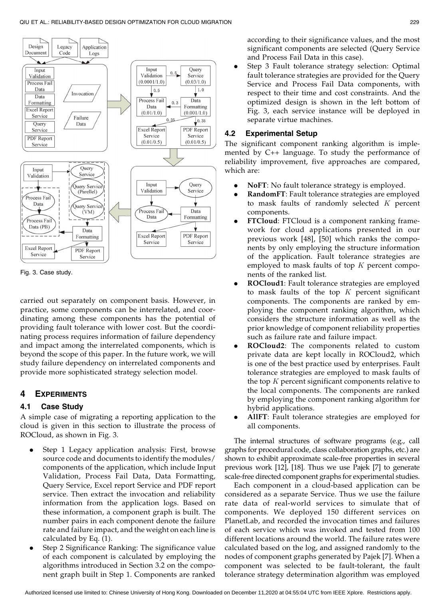

Fig. 3. Case study.

carried out separately on component basis. However, in practice, some components can be interrelated, and coordinating among these components has the potential of providing fault tolerance with lower cost. But the coordinating process requires information of failure dependency and impact among the interrelated components, which is beyond the scope of this paper. In the future work, we will study failure dependency on interrelated components and provide more sophisticated strategy selection model.

# 4 EXPERIMENTS

#### 4.1 Case Study

A simple case of migrating a reporting application to the cloud is given in this section to illustrate the process of ROCloud, as shown in Fig. 3.

- Step 1 Legacy application analysis: First, browse source code and documents to identify the modules/ components of the application, which include Input Validation, Process Fail Data, Data Formatting, Query Service, Excel report Service and PDF report service. Then extract the invocation and reliability information from the application logs. Based on these information, a component graph is built. The number pairs in each component denote the failure rate and failure impact, and the weight on each line is calculated by Eq. (1).
- . Step 2 Significance Ranking: The significance value of each component is calculated by employing the algorithms introduced in Section 3.2 on the component graph built in Step 1. Components are ranked

according to their significance values, and the most significant components are selected (Query Service and Process Fail Data in this case).

. Step 3 Fault tolerance strategy selection: Optimal fault tolerance strategies are provided for the Query Service and Process Fail Data components, with respect to their time and cost constraints. And the optimized design is shown in the left bottom of Fig. 3, each service instance will be deployed in separate virtue machines.

#### 4.2 Experimental Setup

The significant component ranking algorithm is implemented by C++ language. To study the performance of reliability improvement, five approaches are compared, which are:

- NoFT: No fault tolerance strategy is employed.
- RandomFT: Fault tolerance strategies are employed to mask faults of randomly selected  $K$  percent components.
- . FTCloud: FTCloud is a component ranking framework for cloud applications presented in our previous work [48], [50] which ranks the components by only employing the structure information of the application. Fault tolerance strategies are employed to mask faults of top  $K$  percent components of the ranked list.
- . ROCloud1: Fault tolerance strategies are employed to mask faults of the top  $K$  percent significant components. The components are ranked by employing the component ranking algorithm, which considers the structure information as well as the prior knowledge of component reliability properties such as failure rate and failure impact.
- ROCloud2: The components related to custom private data are kept locally in ROCloud2, which is one of the best practice used by enterprises. Fault tolerance strategies are employed to mask faults of the top  $K$  percent significant components relative to the local components. The components are ranked by employing the component ranking algorithm for hybrid applications.
- . AllFT: Fault tolerance strategies are employed for all components.

The internal structures of software programs (e.g., call graphs for procedural code, class collaboration graphs, etc.) are shown to exhibit approximate scale-free properties in several previous work [12], [18]. Thus we use Pajek [7] to generate scale-free directed component graphs for experimental studies.

Each component in a cloud-based application can be considered as a separate Service. Thus we use the failure rate data of real-world services to simulate that of components. We deployed 150 different services on PlanetLab, and recorded the invocation times and failures of each service which was invoked and tested from 100 different locations around the world. The failure rates were calculated based on the log, and assigned randomly to the nodes of component graphs generated by Pajek [7]. When a component was selected to be fault-tolerant, the fault tolerance strategy determination algorithm was employed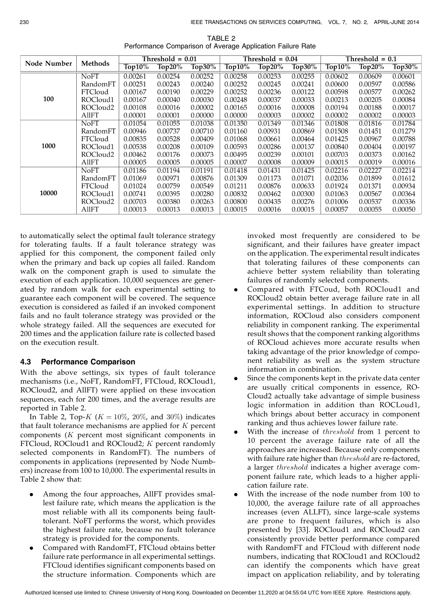TABLE 2 Performance Comparison of Average Application Failure Rate

| Node Number |             | Threshold $= 0.01$ |         | Threshold $= 0.04$ |         |         | Threshold $= 0.1$ |         |         |         |
|-------------|-------------|--------------------|---------|--------------------|---------|---------|-------------------|---------|---------|---------|
|             | Methods     | $Top10\%$          | Top20%  | Top $30\%$         | Top10%  | Top20%  | Top30%            | Top10%  | Top20%  | Top30%  |
|             | <b>NoFT</b> | 0.00261            | 0.00254 | 0.00252            | 0.00258 | 0.00253 | 0.00255           | 0.00602 | 0.00609 | 0.00601 |
|             | RandomFT    | 0.00251            | 0.00243 | 0.00240            | 0.00252 | 0.00245 | 0.00241           | 0.00600 | 0.00597 | 0.00586 |
|             | FTCloud     | 0.00167            | 0.00190 | 0.00229            | 0.00252 | 0.00236 | 0.00122           | 0.00598 | 0.00577 | 0.00262 |
| 100         | ROCloud1    | 0.00167            | 0.00040 | 0.00030            | 0.00248 | 0.00037 | 0.00033           | 0.00213 | 0.00205 | 0.00084 |
|             | ROCloud2    | 0.00108            | 0.00016 | 0.00002            | 0.00165 | 0.00016 | 0.00008           | 0.00194 | 0.00188 | 0.00017 |
|             | AllFT       | 0.00001            | 0.00001 | 0.00000            | 0.00000 | 0.00003 | 0.00002           | 0.00002 | 0.00002 | 0.00003 |
|             | NoFT        | 0.01054            | 0.01055 | 0.01038            | 0.01350 | 0.01349 | 0.01346           | 0.01808 | 0.01816 | 0.01784 |
|             | RandomFT    | 0.00946            | 0.00737 | 0.00710            | 0.01160 | 0.00931 | 0.00869           | 0.01508 | 0.01451 | 0.01279 |
|             | FTCloud     | 0.00835            | 0.00528 | 0.00409            | 0.01068 | 0.00661 | 0.00464           | 0.01425 | 0.00967 | 0.00788 |
| 1000        | ROCloud1    | 0.00538            | 0.00208 | 0.00109            | 0.00593 | 0.00286 | 0.00137           | 0.00840 | 0.00404 | 0.00197 |
|             | ROCloud2    | 0.00462            | 0.00176 | 0.00073            | 0.00495 | 0.00239 | 0.00101           | 0.00703 | 0.00373 | 0.00162 |
|             | AllFT       | 0.00005            | 0.00005 | 0.00005            | 0.00007 | 0.00008 | 0.00009           | 0.00015 | 0.00019 | 0.00016 |
| 10000       | NoFT        | 0.01186            | 0.01194 | 0.01191            | 0.01418 | 0.01431 | 0.01425           | 0.02216 | 0.02227 | 0.02214 |
|             | RandomFT    | 0.01069            | 0.00971 | 0.00876            | 0.01309 | 0.01173 | 0.01071           | 0.02036 | 0.01899 | 0.01612 |
|             | FTCloud     | 0.01024            | 0.00759 | 0.00549            | 0.01211 | 0.00876 | 0.00633           | 0.01924 | 0.01371 | 0.00934 |
|             | ROCloud1    | 0.00741            | 0.00395 | 0.00280            | 0.00832 | 0.00462 | 0.00300           | 0.01063 | 0.00567 | 0.00364 |
|             | ROCloud2    | 0.00703            | 0.00380 | 0.00263            | 0.00800 | 0.00435 | 0.00276           | 0.01006 | 0.00537 | 0.00336 |
|             | AllFT       | 0.00013            | 0.00013 | 0.00013            | 0.00015 | 0.00016 | 0.00015           | 0.00057 | 0.00055 | 0.00050 |

to automatically select the optimal fault tolerance strategy for tolerating faults. If a fault tolerance strategy was applied for this component, the component failed only when the primary and back up copies all failed. Random walk on the component graph is used to simulate the execution of each application. 10,000 sequences are generated by random walk for each experimental setting to guarantee each component will be covered. The sequence execution is considered as failed if an invoked component fails and no fault tolerance strategy was provided or the whole strategy failed. All the sequences are executed for 200 times and the application failure rate is collected based on the execution result.

#### 4.3 Performance Comparison

With the above settings, six types of fault tolerance mechanisms (i.e., NoFT, RandomFT, FTCloud, ROCloud1, ROCloud2, and AllFT) were applied on these invocation sequences, each for 200 times, and the average results are reported in Table 2.

In Table 2, Top-K ( $K = 10\%$ , 20%, and 30%) indicates that fault tolerance mechanisms are applied for  $K$  percent components (K percent most significant components in FTCloud, ROCloud1 and ROCloud2; *K* percent randomly selected components in RandomFT). The numbers of components in applications (represented by Node Numbers) increase from 100 to 10,000. The experimental results in Table 2 show that:

- . Among the four approaches, AllFT provides smallest failure rate, which means the application is the most reliable with all its components being faulttolerant. NoFT performs the worst, which provides the highest failure rate, because no fault tolerance strategy is provided for the components.
- . Compared with RandomFT, FTCloud obtains better failure rate performance in all experimental settings. FTCloud identifies significant components based on the structure information. Components which are

invoked most frequently are considered to be significant, and their failures have greater impact on the application. The experimental result indicates that tolerating failures of these components can achieve better system reliability than tolerating failures of randomly selected components.

- . Compared with FTCoud, both ROCloud1 and ROCloud2 obtain better average failure rate in all experimental settings. In addition to structure information, ROCloud also considers component reliability in component ranking. The experimental result shows that the component ranking algorithms of ROCloud achieves more accurate results when taking advantage of the prior knowledge of component reliability as well as the system structure information in combination.
- . Since the components kept in the private data center are usually critical components in essence, RO-Cloud2 actually take advantage of simple business logic information in addition than ROCLoud1, which brings about better accuracy in component ranking and thus achieves lower failure rate.
- With the increase of *threshold* from 1 percent to 10 percent the average failure rate of all the approaches are increased. Because only components with failure rate higher than threshold are re-factored, a larger *threshold* indicates a higher average component failure rate, which leads to a higher application failure rate.
- . With the increase of the node number from 100 to 10,000, the average failure rate of all approaches increases (even ALLFT), since large-scale systems are prone to frequent failures, which is also presented by [33]. ROCloud1 and ROCloud2 can consistently provide better performance compared with RandomFT and FTCloud with different node numbers, indicating that ROCloud1 and ROCloud2 can identify the components which have great impact on application reliability, and by tolerating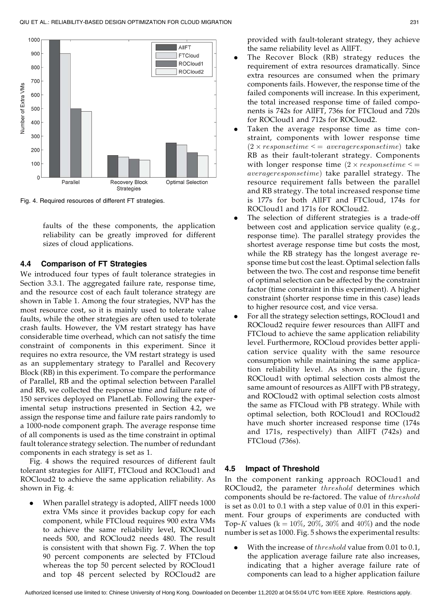

Fig. 4. Required resources of different FT strategies.

faults of the these components, the application reliability can be greatly improved for different sizes of cloud applications.

#### 4.4 Comparison of FT Strategies

We introduced four types of fault tolerance strategies in Section 3.3.1. The aggregated failure rate, response time, and the resource cost of each fault tolerance strategy are shown in Table 1. Among the four strategies, NVP has the most resource cost, so it is mainly used to tolerate value faults, while the other strategies are often used to tolerate crash faults. However, the VM restart strategy has have considerable time overhead, which can not satisfy the time constraint of components in this experiment. Since it requires no extra resource, the VM restart strategy is used as an supplementary strategy to Parallel and Recovery Block (RB) in this experiment. To compare the performance of Parallel, RB and the optimal selection between Parallel and RB, we collected the response time and failure rate of 150 services deployed on PlanetLab. Following the experimental setup instructions presented in Section 4.2, we assign the response time and failure rate pairs randomly to a 1000-node component graph. The average response time of all components is used as the time constraint in optimal fault tolerance strategy selection. The number of redundant components in each strategy is set as 1.

Fig. 4 shows the required resources of different fault tolerant strategies for AllFT, FTCloud and ROCloud1 and ROCloud2 to achieve the same application reliability. As shown in Fig. 4:

. When parallel strategy is adopted, AllFT needs 1000 extra VMs since it provides backup copy for each component, while FTCloud requires 900 extra VMs to achieve the same reliability level, ROCloud1 needs 500, and ROCloud2 needs 480. The result is consistent with that shown Fig. 7. When the top 90 percent components are selected by FTCloud whereas the top 50 percent selected by ROCloud1 and top 48 percent selected by ROCloud2 are provided with fault-tolerant strategy, they achieve the same reliability level as AllFT.

- . The Recover Block (RB) strategy reduces the requirement of extra resources dramatically. Since extra resources are consumed when the primary components fails. However, the response time of the failed components will increase. In this experiment, the total increased response time of failed components is 742s for AllFT, 736s for FTCloud and 720s for ROCloud1 and 712s for ROCloud2.
- . Taken the average response time as time constraint, components with lower response time  $(2 \times response time \leq = average response time)$  take RB as their fault-tolerant strategy. Components with longer response time  $(2 \times response time <=$  $averageresponsetime$ ) take parallel strategy. The resource requirement falls between the parallel and RB strategy. The total increased response time is 177s for both AllFT and FTCloud, 174s for ROCloud1 and 171s for ROCloud2.
- . The selection of different strategies is a trade-off between cost and application service quality (e.g., response time). The parallel strategy provides the shortest average response time but costs the most, while the RB strategy has the longest average response time but cost the least. Optimal selection falls between the two. The cost and response time benefit of optimal selection can be affected by the constraint factor (time constraint in this experiment). A higher constraint (shorter response time in this case) leads to higher resource cost, and vice versa.
- . For all the strategy selection settings, ROCloud1 and ROCloud2 require fewer resources than AllFT and FTCloud to achieve the same application reliability level. Furthermore, ROCloud provides better application service quality with the same resource consumption while maintaining the same application reliability level. As shown in the figure, ROCloud1 with optimal selection costs almost the same amount of resources as AllFT with PB strategy, and ROCloud2 with optimal selection costs almost the same as FTCloud with PB strategy. While with optimal selection, both ROCloud1 and ROCloud2 have much shorter increased response time (174s and 171s, respectively) than AllFT (742s) and FTCloud (736s).

#### 4.5 Impact of Threshold

In the component ranking approach ROCloud1 and ROCloud2, the parameter threshold determines which components should be re-factored. The value of threshold is set as 0.01 to 0.1 with a step value of 0.01 in this experiment. Four groups of experiments are conducted with Top-K values ( $k = 10\%$ , 20%, 30% and 40%) and the node number is set as 1000. Fig. 5 shows the experimental results:

With the increase of *threshold* value from 0.01 to 0.1, the application average failure rate also increases, indicating that a higher average failure rate of components can lead to a higher application failure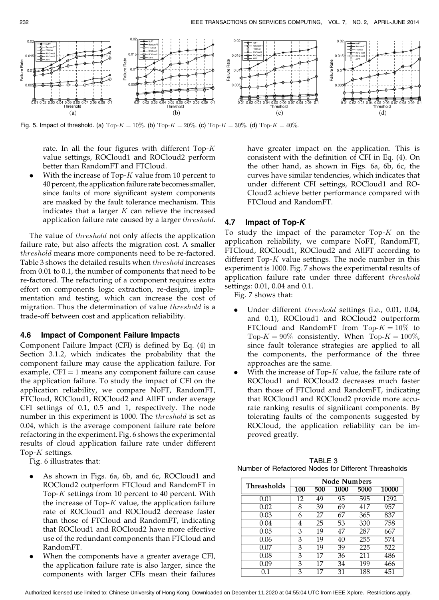

Fig. 5. Impact of threshold. (a)  $Top-K = 10\%$ . (b)  $Top-K = 20\%$ . (c)  $Top-K = 30\%$ . (d)  $Top-K = 40\%$ .

rate. In all the four figures with different  $Top-K$ value settings, ROCloud1 and ROCloud2 perform better than RandomFT and FTCloud.

With the increase of  $Top-K$  value from 10 percent to 40 percent, the application failure rate becomes smaller, since faults of more significant system components are masked by the fault tolerance mechanism. This indicates that a larger  $K$  can relieve the increased application failure rate caused by a larger threshold.

The value of threshold not only affects the application failure rate, but also affects the migration cost. A smaller threshold means more components need to be re-factored. Table 3 shows the detailed results when threshold increases from 0.01 to 0.1, the number of components that need to be re-factored. The refactoring of a component requires extra effort on components logic extraction, re-design, implementation and testing, which can increase the cost of migration. Thus the determination of value *threshold* is a trade-off between cost and application reliability.

#### 4.6 Impact of Component Failure Impacts

Component Failure Impact (CFI) is defined by Eq. (4) in Section 3.1.2, which indicates the probability that the component failure may cause the application failure. For example,  $CFI = 1$  means any component failure can cause the application failure. To study the impact of CFI on the application reliability, we compare NoFT, RandomFT, FTCloud, ROCloud1, ROCloud2 and AllFT under average CFI settings of 0.1, 0.5 and 1, respectively. The node number in this experiment is 1000. The threshold is set as 0.04, which is the average component failure rate before refactoring in the experiment. Fig. 6 shows the experimental results of cloud application failure rate under different Top-K settings.

Fig. 6 illustrates that:

- . As shown in Figs. 6a, 6b, and 6c, ROCloud1 and ROCloud2 outperform FTCloud and RandomFT in Top-K settings from 10 percent to 40 percent. With the increase of Top- $K$  value, the application failure rate of ROCloud1 and ROCloud2 decrease faster than those of FTCloud and RandomFT, indicating that ROCloud1 and ROCloud2 have more effective use of the redundant components than FTCloud and RandomFT.
- . When the components have a greater average CFI, the application failure rate is also larger, since the components with larger CFIs mean their failures

have greater impact on the application. This is consistent with the definition of CFI in Eq. (4). On the other hand, as shown in Figs. 6a, 6b, 6c, the curves have similar tendencies, which indicates that under different CFI settings, ROCloud1 and RO-Cloud2 achieve better performance compared with FTCloud and RandomFT.

#### 4.7 Impact of Top-K

To study the impact of the parameter  $Top-K$  on the application reliability, we compare NoFT, RandomFT, FTCloud, ROCloud1, ROCloud2 and AllFT according to different Top- $K$  value settings. The node number in this experiment is 1000. Fig. 7 shows the experimental results of application failure rate under three different threshold settings: 0.01, 0.04 and 0.1.

Fig. 7 shows that:

- . Under different threshold settings (i.e., 0.01, 0.04, and 0.1), ROCloud1 and ROCloud2 outperform FTCloud and RandomFT from Top- $K = 10\%$  to Top- $K = 90\%$  consistently. When Top- $K = 100\%$ , since fault tolerance strategies are applied to all the components, the performance of the three approaches are the same.
- With the increase of Top- $K$  value, the failure rate of ROCloud1 and ROCloud2 decreases much faster than those of FTCloud and RandomFT, indicating that ROCloud1 and ROCloud2 provide more accurate ranking results of significant components. By tolerating faults of the components suggested by ROCloud, the application reliability can be improved greatly.

| TABLE 3                                              |  |
|------------------------------------------------------|--|
| Number of Refactored Nodes for Different Threasholds |  |

| <b>Threasholds</b> | <b>Node Numbers</b> |     |      |      |       |  |
|--------------------|---------------------|-----|------|------|-------|--|
|                    | 100                 | 500 | 1000 | 5000 | 10000 |  |
| 0.01               | 12                  | 49  | 95   | 595  | 1292  |  |
| 0.02               | 8                   | 39  | 69   | 417  | 957   |  |
| 0.03               | 6                   | 27  | 67   | 365  | 837   |  |
| 0.04               |                     | 25  | 53   | 330  | 758   |  |
| 0.05               | 3                   | 19  | 47   | 287  | 667   |  |
| 0.06               | 3                   | 19  | 40   | 255  | 574   |  |
| 0.07               | 3                   | 19  | 39   | 225  | 522   |  |
| 0.08               | 3                   | 17  | 36   | 211  | 486   |  |
| 0.09               | 3                   | 17  | 34   | 199  | 466   |  |
|                    | З                   |     | 31   | 188  | 451   |  |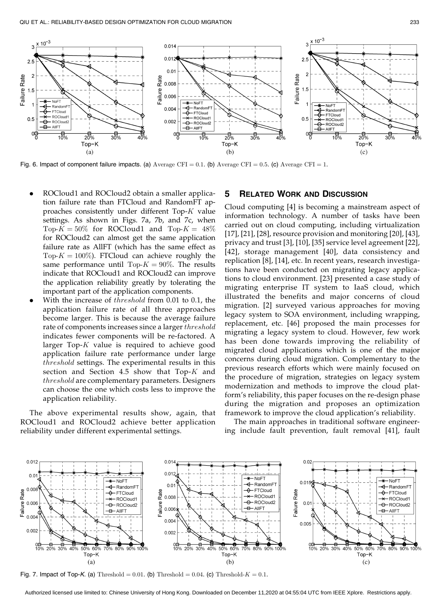

Fig. 6. Impact of component failure impacts. (a) Average CFI = 0.1. (b) Average CFI = 0.5. (c) Average CFI = 1.

- ROCloud1 and ROCloud2 obtain a smaller application failure rate than FTCloud and RandomFT approaches consistently under different Top-K value settings. As shown in Figs. 7a, 7b, and 7c, when Top- $K = 50\%$  for ROCloud1 and Top- $K = 48\%$ for ROCloud2 can almost get the same application failure rate as AllFT (which has the same effect as Top- $K = 100\%$ ). FTCloud can achieve roughly the same performance until Top- $K = 90\%$ . The results indicate that ROCloud1 and ROCloud2 can improve the application reliability greatly by tolerating the important part of the application components.
- With the increase of *threshold* from 0.01 to 0.1, the application failure rate of all three approaches become larger. This is because the average failure rate of components increases since a larger threshold indicates fewer components will be re-factored. A larger Top- $K$  value is required to achieve good application failure rate performance under large threshold settings. The experimental results in this section and Section 4.5 show that  $Top-K$  and threshold are complementary parameters. Designers can choose the one which costs less to improve the application reliability.

The above experimental results show, again, that ROCloud1 and ROCloud2 achieve better application reliability under different experimental settings.

## 5 RELATED WORK AND DISCUSSION

Cloud computing [4] is becoming a mainstream aspect of information technology. A number of tasks have been carried out on cloud computing, including virtualization [17], [21], [28], resource provision and monitoring [20], [43], privacy and trust [3], [10], [35] service level agreement [22], [42], storage management [40], data consistency and replication [8], [14], etc. In recent years, research investigations have been conducted on migrating legacy applications to cloud environment. [23] presented a case study of migrating enterprise IT system to IaaS cloud, which illustrated the benefits and major concerns of cloud migration. [2] surveyed various approaches for moving legacy system to SOA environment, including wrapping, replacement, etc. [46] proposed the main processes for migrating a legacy system to cloud. However, few work has been done towards improving the reliability of migrated cloud applications which is one of the major concerns during cloud migration. Complementary to the previous research efforts which were mainly focused on the procedure of migration, strategies on legacy system modernization and methods to improve the cloud platform's reliability, this paper focuses on the re-design phase during the migration and proposes an optimization framework to improve the cloud application's reliability.

The main approaches in traditional software engineering include fault prevention, fault removal [41], fault



Fig. 7. Impact of Top-K. (a) Threshold = 0.01. (b) Threshold = 0.04. (c) Threshold- $K = 0.1$ .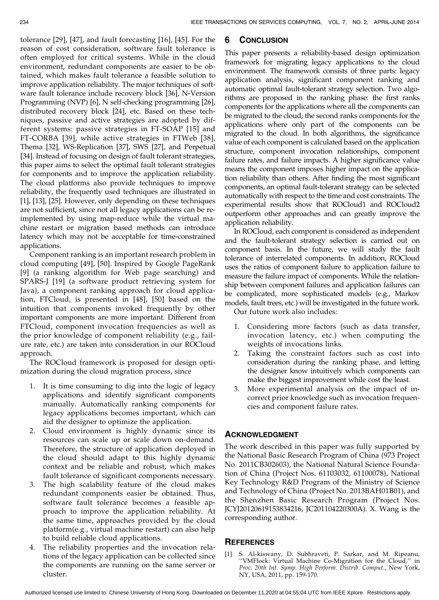tolerance [29], [47], and fault forecasting [16], [45]. For the reason of cost consideration, software fault tolerance is often employed for critical systems. While in the cloud environment, redundant components are easier to be obtained, which makes fault tolerance a feasible solution to improve application reliability. The major techniques of software fault tolerance include recovery block [36], N-Version Programming (NVP) [6], N self-checking programming [26], distributed recovery block [24], etc. Based on these techniques, passive and active strategies are adopted by different systems: passive strategies in FT-SOAP [15] and FT-CORBA [39], while active strategies in FTWeb [38], Thema [32], WS-Replication [37], SWS [27], and Perpetual [34]. Instead of focusing on design of fault tolerant strategies, this paper aims to select the optimal fault tolerant strategies for components and to improve the application reliability. The cloud platforms also provide techniques to improve reliability, the frequently used techniques are illustrated in [1], [13], [25]. However, only depending on these techniques are not sufficient, since not all legacy applications can be reimplemented by using map-reduce while the virtual machine restart or migration based methods can introduce latency which may not be acceptable for time-constrained applications.

Component ranking is an important research problem in cloud computing [49], [50]. Inspired by Google PageRank [9] (a ranking algorithm for Web page searching) and SPARS-J [19] (a software product retrieving system for Java), a component ranking approach for cloud application, FTCloud, is presented in [48], [50] based on the intuition that components invoked frequently by other important components are more important. Different from FTCloud, component invocation frequencies as well as the prior knowledge of component reliability (e.g., failure rate, etc.) are taken into consideration in our ROCloud approach.

The ROCloud framework is proposed for design optimization during the cloud migration process, since

- 1. It is time consuming to dig into the logic of legacy applications and identify significant components manually. Automatically ranking components for legacy applications becomes important, which can aid the designer to optimize the application.
- 2. Cloud environment is highly dynamic since its resources can scale up or scale down on-demand. Therefore, the structure of application deployed in the cloud should adapt to this highly dynamic context and be reliable and robust, which makes fault tolerance of significant components necessary.
- 3. The high scalability feature of the cloud makes redundant components easier be obtained. Thus, software fault tolerance becomes a feasible approach to improve the application reliability. At the same time, approaches provided by the cloud platform(e.g., virtual machine restart) can also help to build reliable cloud applications.
- 4. The reliability properties and the invocation relations of the legacy application can be collected since the components are running on the same server or cluster.

# 6 CONCLUSION

This paper presents a reliability-based design optimization framework for migrating legacy applications to the cloud environment. The framework consists of three parts: legacy application analysis, significant component ranking and automatic optimal fault-tolerant strategy selection. Two algorithms are proposed in the ranking phase: the first ranks components for the applications where all the components can be migrated to the cloud; the second ranks components for the applications where only part of the components can be migrated to the cloud. In both algorithms, the significance value of each component is calculated based on the application structure, component invocation relationships, component failure rates, and failure impacts. A higher significance value means the component imposes higher impact on the application reliability than others. After finding the most significant components, an optimal fault-tolerant strategy can be selected automatically with respect to the time and cost constraints. The experimental results show that ROCloud1 and ROCloud2 outperform other approaches and can greatly improve the application reliability.

In ROCloud, each component is considered as independent and the fault-tolerant strategy selection is carried out on component basis. In the future, we will study the fault tolerance of interrelated components. In addition, ROCloud uses the ratios of component failure to application failure to measure the failure impact of components. While the relationship between component failures and application failures can be complicated, more sophisticated models (e.g., Markov models, fault trees, etc.) will be investigated in the future work.

Our future work also includes:

- 1. Considering more factors (such as data transfer, invocation latency, etc.) when computing the weights of invocations links.
- 2. Taking the constraint factors such as cost into consideration during the ranking phase, and letting the designer know intuitively which components can make the biggest improvement while cost the least.
- 3. More experimental analysis on the impact of incorrect prior knowledge such as invocation frequencies and component failure rates.

# ACKNOWLEDGMENT

The work described in this paper was fully supported by the National Basic Research Program of China (973 Project No. 2011CB302603), the National Natural Science Foundation of China (Project Nos. 61103032, 61100078), National Key Technology R&D Program of the Ministry of Science and Technology of China (Project No. 2013BAH01B01), and the Shenzhen Basic Research Program (Project Nos. JCYJ20120619153834216, JC201104220300A). X. Wang is the corresponding author.

# **REFERENCES**

[1] S. Al-kiswany, D. Subhraveti, P. Sarkar, and M. Ripeanu, ''VMFlock: Virtual Machine Co-Migration for the Cloud,'' in Proc. 20th Int. Symp. High Perform. Distrib. Comput., New York, NY, USA, 2011, pp. 159-170.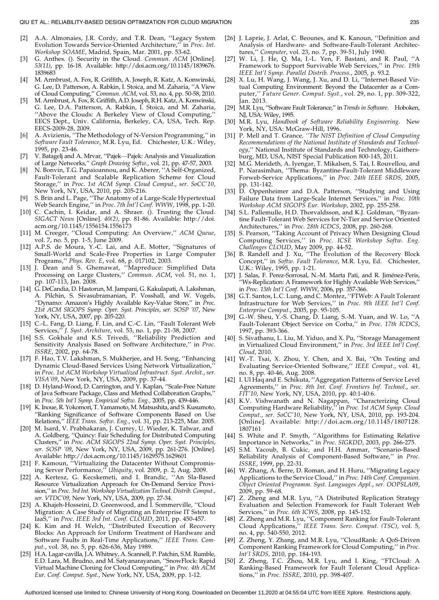- [2] A.A. Almonaies, J.R. Cordy, and T.R. Dean, ''Legacy System Evolution Towards Service-Oriented Architecture,'' in Proc. Int. Workshop SOAME, Madrid, Spain, Mar. 2001, pp. 53-62.
- G. Anthes. (). Security in the Cloud. Commun. ACM [Online]. 53(11), pp. 16-18. Available: http://doi.acm.org/10.1145/1839676. 1839683
- [4] M. Armbrust, A. Fox, R. Griffith, A. Joseph, R. Katz, A. Konwinski, G. Lee, D. Patterson, A. Rabkin, I. Stoica, and M. Zaharia, ''A View of Cloud Computing,'' Commun. ACM, vol. 53, no. 4, pp. 50-58, 2010.
- [5] M. Armbrust, A. Fox, R. Griffith, A.D. Joseph, R.H. Katz, A. Konwinski, G. Lee, D.A. Patterson, A. Rabkin, I. Stoica, and M. Zaharia, ''Above the Clouds: A Berkeley View of Cloud Computing,'' EECS Dept., Univ. California, Berkeley, CA, USA, Tech. Rep. EECS-2009-28, 2009.
- [6] A. Avizienis, ''The Methodology of N-Version Programming,'' in Software Fault Tolerance, M.R. Lyu, Ed. Chichester, U.K.: Wiley, 1995, pp. 23-46.
- [7] V. Batagelj and A. Mrvar, "Pajek—Pajek: Analysis and Visualization of Large Networks,'' Graph Drawing Softw., vol. 21, pp. 47-57, 2003.
- [8] N. Bonvin, T.G. Papaioannou, and K. Aberer, ''A Self-Organized, Fault-Tolerant and Scalable Replication Scheme for Cloud Storage,'' in Proc. 1st ACM Symp. Cloud Comput., ser. SoCC'10, New York, NY, USA, 2010, pp. 205-216.
- S. Brin and L. Page, "The Anatomy of a Large-Scale Hypertextual Web Search Engine," in Proc. 7th Int'l Conf. WWW, 1998, pp. 1-20.
- [10] C. Cachin, I. Keidar, and A. Shraer. (). Trusting the Cloud. SIGACT News [Online]. 40(2), pp. 81-86. Available: http://doi. acm.org/10.1145/1556154.1556173
- [11] M. Creeger, "Cloud Computing: An Overview," ACM Queue, vol. 7, no. 5, pp. 1-5, June 2009.
- [12] A.P.S. de Moura, Y.-C. Lai, and A.E. Motter, "Signatures of Small-World and Scale-Free Properties in Large Computer Programs,'' Phys. Rev. E, vol. 68, p. 017102, 2003.
- [13] J. Dean and S. Ghemawat, ''Mapreduce: Simplified Data Processing on Large Clusters,'' Commun. ACM, vol. 51, no. 1, pp. 107-113, Jan. 2008.
- [14] G. DeCandia, D. Hastorun, M. Jampani, G. Kakulapati, A. Lakshman, A. Pilchin, S. Sivasubramanian, P. Vosshall, and W. Vogels, ''Dynamo: Amazon's Highly Available Key-Value Store,'' in Proc. 21st ACM SIGOPS Symp. Oper. Syst. Principles, ser. SOSP '07, New York, NY, USA, 2007, pp. 205-220.
- [15] C.-L. Fang, D. Liang, F. Lin, and C.-C. Lin, ''Fault Tolerant Web Services,'' J. Syst. Architure, vol. 53, no. 1, pp. 21-38, 2007.
- [16] S.S. Gokhale and K.S. Trivedi, ''Reliability Prediction and Sensitivity Analysis Based on Software Architecture,'' in Proc. ISSRE, 2002, pp. 64-78.
- [17] F. Hao, T.V. Lakshman, S. Mukherjee, and H. Song, ''Enhancing Dynamic Cloud-Based Services Using Network Virtualization,'' in Proc. 1st ACM Workshop Virtualized Infrastruct. Syst. Archit., ser. VISA'09, New York, NY, USA, 2009, pp. 37-44.
- [18] D. Hyland-Wood, D. Carrington, and Y. Kaplan, "Scale-Free Nature of Java Software Package, Class and Method Collaboration Graphs,'' in Proc. 5th Int'l Symp. Empirical Softw. Eng., 2005, pp. 439-446.
- [19] K. Inoue, R. Yokomori, T. Yamamoto, M. Matsushita, and S. Kusumoto, ''Ranking Significance of Software Components Based on Use Relations,'' IEEE Trans. Softw. Eng., vol. 31, pp. 213-225, Mar. 2005.
- [20] M. Isard, V. Prabhakaran, J. Currey, U. Wieder, K. Talwar, and A. Goldberg, ''Quincy: Fair Scheduling for Distributed Computing Clusters,'' in Proc. ACM SIGOPS 22nd Symp. Oper. Syst. Principles, ser. SOSP '09, New York, NY, USA, 2009, pp. 261-276. [Online]. Available: http://doi.acm.org/10.1145/1629575.1629601
- [21] F. Kamoun, ''Virtualizing the Datacenter Without Compromising Server Performance,'' Ubiquity, vol. 2009, p. 2, Aug. 2009.
- [22] A. Kertesz, G. Kecskemeti, and I. Brandic, ''An Sla-Based Resource Virtualization Approach for On-Demand Service Provision,'' in Proc. 3rd Int. Workshop Virtualization Technol. Distrib. Comput., ser. VTDC'09, New York, NY, USA, 2009, pp. 27-34.
- [23] A. Khajeh-Hosseini, D. Greenwood, and I. Sommerville, ''Cloud Migration: A Case Study of Migrating an Enterprise IT Sstem to IaaS,'' in Proc. IEEE 3rd Int. Conf. CLOUD, 2011, pp. 450-457.
- [24] K. Kim and H. Welch, ''Distributed Execution of Recovery Blocks: An Approach for Uniform Treatment of Hardware and Software Faults in Real-Time Applications,'' IEEE Trans. Comput., vol. 38, no. 5, pp. 626-636, May 1989.
- [25] H.A. Lagar-cavilla, J.A. Whitney, A. Scannell, P. Patchin, S.M. Rumble, E.D. Lara, M. Brudno, and M. Satyanarayanan, ''SnowFlock: Rapid Virtual Machine Cloning for Cloud Computing,'' in Proc. 4th ACM Eur. Conf. Comput. Syst., New York, NY, USA, 2009, pp. 1-12.
- [26] J. Laprie, J. Arlat, C. Beounes, and K. Kanoun, ''Definition and Analysis of Hardware- and Software-Fault-Tolerant Architectures,'' Computer, vol. 23, no. 7, pp. 39-51, July 1990.
- [27] W. Li, J. He, Q. Ma, I.-L. Yen, F. Bastani, and R. Paul, ''A Framework to Support Survivable Web Services,'' in Proc. 19th IEEE Int'l Symp. Parallel Distrib. Process., 2005, p. 93.2.
- [28] X. Lu, H. Wang, J. Wang, J. Xu, and D. Li, ''Internet-Based Virtual Computing Environment: Beyond the Datacenter as a Computer,'' Future Gener. Comput. Syst., vol. 29, no. 1, pp. 309-322, Jan. 2013.
- [29] M.R. Lyu, "Software Fault Tolerance," in Trends in Software. Hoboken, NJ, USA: Wiley, 1995.
- [30] M.R. Lyu, Handbook of Software Reliability Engineering. New York, NY, USA: McGraw-Hill, 1996.
- [31] P. Mell and T. Grance, ''The NIST Definition of Cloud Computing Recommendations of the National Institute of Standards and Technology,'' National Institute of Standards and Technology, Gaithersburg, MD, USA, NIST Special Publication 800-145, 2011.
- [32] M.G. Merideth, A. Iyengar, T. Mikalsen, S. Tai, I. Rouvellou, and P. Narasimhan, ''Thema: Byzantine-Fault-Tolerant Middleware Forweb-Service Applications,'' in Proc. 24th IEEE SRDS, 2005, pp. 131-142.
- [33] D. Oppenheimer and D.A. Patterson, ''Studying and Using Failure Data from Large-Scale Internet Services,'' in Proc. 10th Workshop ACM SIGOPS Eur. Workshop, 2002, pp. 255-258.
- [34] S.L. Pallemulle, H.D. Thorvaldsson, and K.J. Goldman, ''Byzantine Fault-Tolerant Web Services for N-Tier and Service Oriented Architectures,'' in Proc. 28th ICDCS, 2008, pp. 260-268.
- [35] S. Pearson, ''Taking Account of Privacy When Designing Cloud Computing Services,'' in Proc. ICSE Workshop Softw. Eng. Challenges CLOUD, May 2009, pp. 44-52.
- [36] B. Randell and J. Xu, ''The Evolution of the Recovery Block Concept,'' in Softw. Fault Tolerance, M.R. Lyu, Ed. Chichester, U.K.: Wiley, 1995, pp. 1-21.
- [37] J. Salas, F. Perez-Sorrosal, N.-M. Marta Pati, and R. Jiménez-Peris, ''Ws-Replication: A Framework for Highly Available Web Services,'' in Proc. 15th Int'l Conf. WWW, 2006, pp. 357-366.
- [38] G.T. Santos, L.C. Lung, and C. Montez, ''FTWeb: A Fault Tolerant Infrastructure for Web Services,'' in Proc. 9th IEEE Int'l Conf. Enterprise Comput., 2005, pp. 95-105.
- [39] G.-W. Sheu, Y.-S. Chang, D. Liang, S.-M. Yuan, and W. Lo, ''A Fault-Tolerant Object Service on Corba,'' in Proc. 17th ICDCS, 1997, pp. 393-366.
- [40] S. Sivathanu, L. Liu, M. Yiduo, and X. Pu, "Storage Management in Virtualized Cloud Environment,'' in Proc. 3rd IEEE Int'l Conf. Cloud, 2010.
- [41] W.-T. Tsai, X. Zhou, Y. Chen, and X. Bai, "On Testing and Evaluating Service-Oriented Software,'' IEEE Comput., vol. 41, no. 8, pp. 40-46, Aug. 2008.
- [42] I. Ul Haq and E. Schikuta, ''Aggregation Patterns of Service Level Agreements," in Proc. 8th Int. Conf. Frontiers Inf. Technol., ser. FIT'10, New York, NY, USA, 2010, pp. 40:1-40:6.
- [43] K.V. Vishwanath and N. Nagappan, ''Characterizing Cloud Computing Hardware Reliability,'' in Proc. 1st ACM Symp. Cloud Comput., ser. SoCC'10, New York, NY, USA, 2010, pp. 193-204. [Online]. Available: http://doi.acm.org/10.1145/1807128. 1807161
- [44] S. White and P. Smyth, ''Algorithms for Estimating Relative Importance in Networks,'' in Proc. SIGKDD, 2003, pp. 266-275.
- [45] S.M. Yacoub, B. Cukic, and H.H. Ammar, "Scenario-Based Reliability Analysis of Component-Based Software,'' in Proc. ISSRE, 1999, pp. 22-31.
- [46] W. Zhang, A. Berre, D. Roman, and H. Huru, ''Migrating Legacy Applications to the Service Cloud,'' in Proc. 14th Conf. Companion. Object Oriented Programm. Syst. Languages Appl., ser. OOPSLA09, 2009, pp. 59-68.
- [47] Z. Zheng and M.R. Lyu, "A Distributed Replication Strategy Evaluation and Selection Framework for Fault Tolerant Web Services,'' in Proc. 6th ICWS, 2008, pp. 145-152.
- [48] Z. Zheng and M.R. Lyu, ''Component Ranking for Fault-Tolerant Cloud Applications,'' IEEE Trans. Serv. Comput. (TSC), vol. 5, no. 4, pp. 540-550, 2012.
- [49] Z. Zheng, Y. Zhang, and M.R. Lyu, ''CloudRank: A QoS-Driven Component Ranking Framework for Cloud Computing,'' in Proc. Int'l SRDS, 2010, pp. 184-193.
- [50] Z. Zheng, T.C. Zhou, M.R. Lyu, and I. King, ''FTCloud: A Ranking-Based Framework for Fault Tolerant Cloud Applications,'' in Proc. ISSRE, 2010, pp. 398-407.